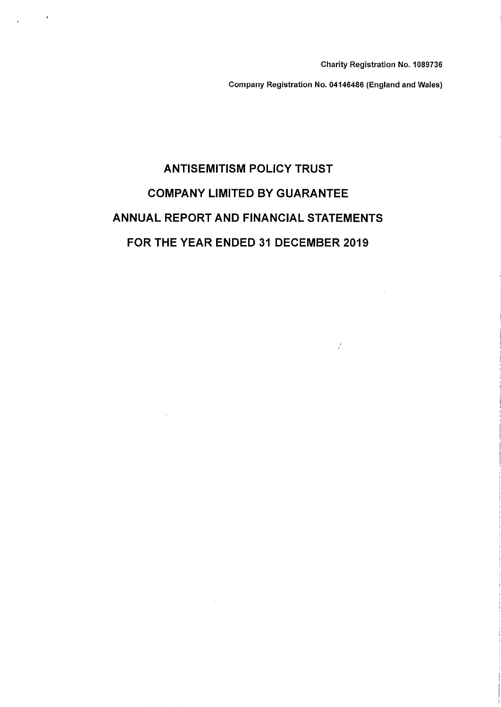Charity Registration No. 1089736

Company Registration No. 04146486 (England and Wales)

 $\frac{1}{l}$ 

# ANTISEMITISM POLICY TRUST COMPANY LIMITED BY GUARANTEE ANNUAL REPORT AND FINANCIAL STATEMENTS FOR THE YEAR ENDED 31 DECEMBER 2019

 $\epsilon$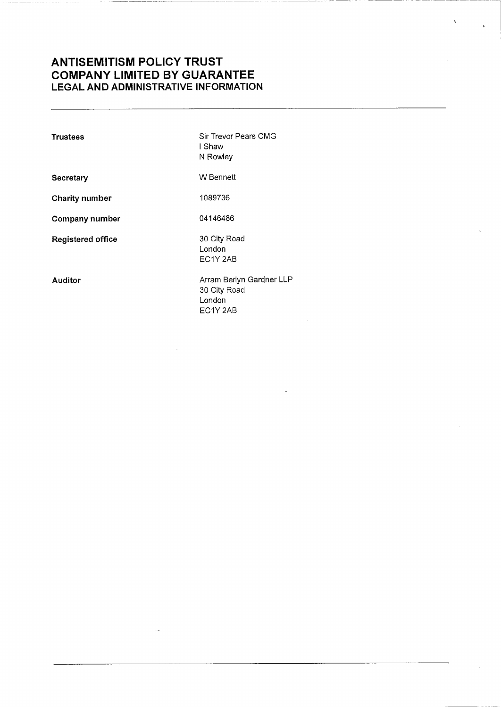### ANTISEMITISM POLICY TRUST COMPANY LIMITED BY GUARANTEE LEGAL AND ADMINISTRATIVE INFORMATION

| <b>Trustees</b>          | Sir Trevor Pears CMG<br>I Shaw<br>N Rowley                     |
|--------------------------|----------------------------------------------------------------|
| <b>Secretary</b>         | W Bennett                                                      |
| <b>Charity number</b>    | 1089736                                                        |
| Company number           | 04146486                                                       |
| <b>Registered office</b> | 30 City Road<br>London<br>EC1Y 2AB                             |
| Auditor                  | Arram Berlyn Gardner LLP<br>30 City Road<br>London<br>EC1Y 2AB |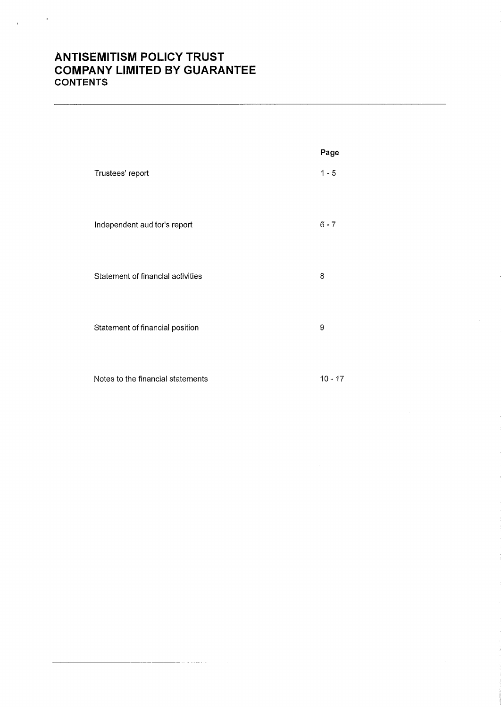### ANTISEMITISM POLICY TRUST COMPANY LIMITED BY GUARANTEE **CONTENTS**

 $\sim$   $\alpha$ 

|                                   | Page      |
|-----------------------------------|-----------|
| Trustees' report                  | $1 - 5$   |
| Independent auditor's report      | $6 - 7$   |
| Statement of financial activities | 8         |
| Statement of financial position   | 9         |
| Notes to the financial statements | $10 - 17$ |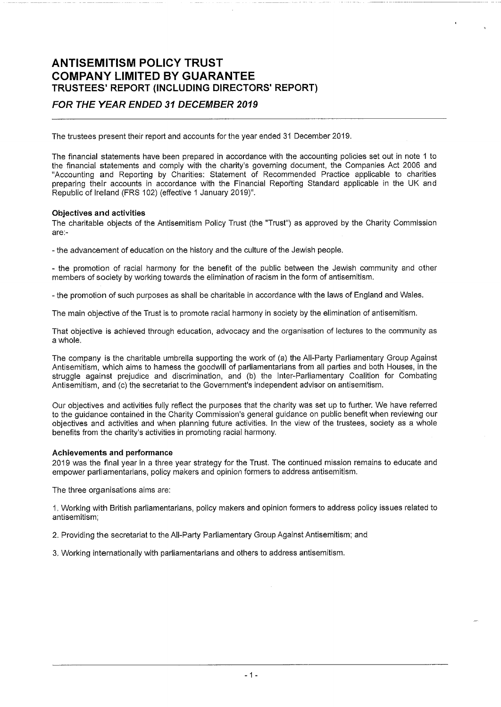### FOR THE YEAR ENDED 31 DECEMBER 2019

The trustees present their report and accounts for the year ended 31 December 2019.

The financial statements have been prepared in accordance with the accounting policies set out in note <sup>1</sup> to the financial statements and comply with the charity's governing document, the Companies Act 2006 and "Accounting and Reporting by Charities: Statement of Recommended Practice applicable to charities preparing their accounts in accordance with the Financial Reporting Standard applicable in the UK and Republic of Ireland (FRS 102) (effective <sup>1</sup> January 2019)".

#### Objectives and activities

The charitable objects of the Antisemitism Policy Trust (the "Trust") as approved by the Charity Commission are:-

- the advancement of education on the history and the culture of the Jewish people.

- the promotion of racial harmony for the benefit of the public between the Jewish community and other members of society by working towards the elimination of racism in the form of antisemitism.

- the promotion of such purposes as shall be charitable in accordance with the laws of England and Wales.

The main objective of the Trust is to promote racial harmony in society by the elimination of antisemitism.

That objective is achieved through education, advocacy and the organisation of lectures to the community as a whole.

The company is the charitable umbrella supporting the work of (a) the All-Party Parliamentary Group Against Antisemitism, which aims to harness the goodwill of parliamentarlans from all parties and both Houses, in the struggle against prejudice and discrimination, and (b) the Inter-Parliamentary Coalition for Combating Antisemitism, and (c) the secretariat to the Government's independent advisor on antisemitism.

Our objectives and activities fully reflect the purposes that the charity was set up to further. We have referred to the guidance contained in the Charity Commission's general guidance on public benefit when reviewing our objectives and activities and when planning future activities. In the view of the trustees, society as a whole benefits from the charity's activities in promoting racial harmony.

#### Achievements and performance

2019 was the final year in a three year strategy for the Trust. The continued mission remains to educate and empower parliamentarlans, policy makers and opinion formers to address antisemitism.

The three organisations aims are:

1.Working with British parliamentarians, policy makers and opinion formers to address policy issues related to antisemitism;

2. Providing the secretariat to the All-Party Parliamentary Group Against Antisemitism; and

3. Working internationally with parliamentarians and others to address antisemitlsm.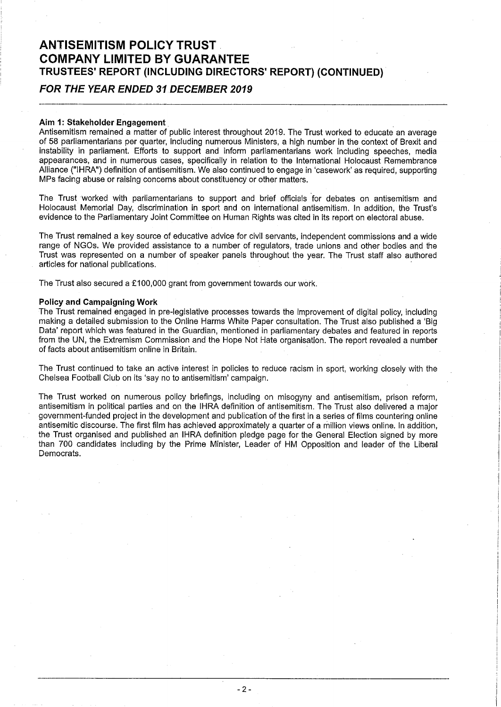### FOR THE YEAR ENDED 31 DECEMBER 2019

#### Aim 1: Stakeholder Engagement

Antisemitism remained a matter of public interest throughout 2019. The Trust worked to educate an average of 58 parliamentarians per quarter, Including numerous Ministers, a high number in the context of Brexit and instability in parliament. Efforts to support and inform parliamentarians work including speeches, media appearances, and in numerous cases, specifically in relation to the International Holocaust Remembrance Alliance ("IHRA") definition of antisemitism. We also continued to engage in 'casework' as required, supporting MPs facing abuse or raising concerns about constituency or other matters.

The Trust worked with parliamentarians to support and brief officials for debates on antisemitism and Holocaust Memorial Day, discrimination in sport and on international antisemitism. In addition, the Trust's evidence to the Parliamentary Joint Committee on Human Rights was cited in its report on electoral abuse.

The Trust remained a key source of educative advice for civil servants, independent commissions and a wide range of NGOs. We provided assistance to a number of regulators, trade unions and other bodies and the Trust was represented on a number of speaker panels throughout the year. The Trust staff also authored articles for national publications.

The Trust also secured a £100,000 grant from government towards our work.

#### Policy and Campaigning Work

The Trust remained engaged in pre-legislative processes towards the improvement of digital policy, including making a detailed submission to the Online Harms White Paper consultation. The Trust also published a 'Big Data' report which was featured in the Guardian, mentioned in parliamentary debates and featured in reports from the UN, the Extremism Commission and the Hope Not Hate organisation. The report revealed a number of facts about antisemitism online in Britain.

The Trust continued to take an active interest in policies to reduce racism in sport, working closely with the Chelsea Football Club on its 'say no to antisemitism' campaign.

The Trust worked on numerous policy briefings, including on misogyny and antisemitism, prison reform, antisemitism in political parties and on the IHRA definition of antisemitism. The Trust also delivered a major government-funded project in the development and publication of the first in a series of films countering online antisemitic discourse. The first film has achieved approximately a quarter of a million views online. In addition, the Trust organised and published an IHRA definition pledge page for the General Election signed by more than 700 candidates including by the Prime Minister, Leader of HM Opposition and leader of the Liberal Democrats.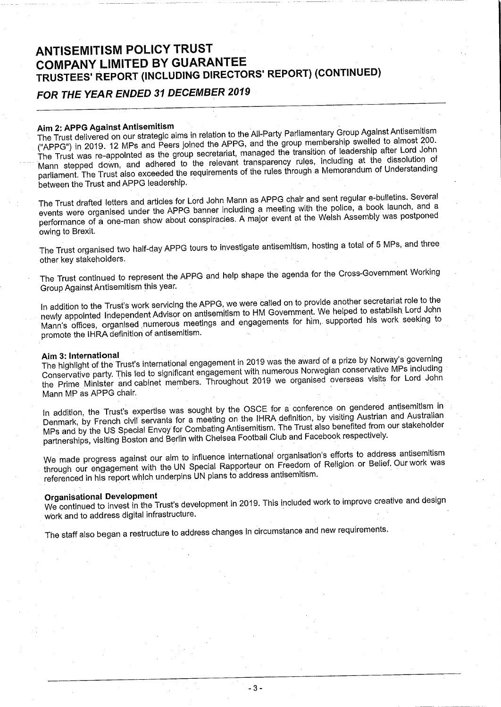### FOR THE YEAR ENDED 31 DECEMBER 2019

### Aim 2: APPG Against Antisemitism

The Trust delivered on our strategic aims in relation to the All-Party Parliamentary Group Against Antisemitism ("APPG") in 2019. <sup>12</sup> MPs and Peers joined the APPG, and the group membership swelled to almost 200. The Trust. was re-appointed as the group secretariat, managed the transition of leadership after Lord John Mann stepped down, and adhered to the relevant transparency rules, including at the dissolution of parliament. The Trust also exceeded the requirements of the rules through <sup>a</sup> Memorandum of Understanding between the Trust and APPG leadership.

The Trust drafted letters and articles for Lord John Mann as APPG chair and sent regular e-bulletins. Several events were organised under the APPG banner including <sup>a</sup> meeting with the police, <sup>a</sup> book launch, and <sup>a</sup> performance of <sup>a</sup> one-man show about conspiracies. <sup>A</sup> major event at the Welsh Assembly was postponed owing to Brexit.

The Trust organised two half-day APPG tours to investigate antisemitism, hosting <sup>a</sup> total of <sup>5</sup> MPs, and three other key stakeholders.

The Trust continued to represent the APPG and help shape the agenda for the Cross-Government Working Group Against Antisemitism this year,

In addition to the Trust's work servicing the APPG, we were called on to provide another secretariat role to the newly appointed Independent Advisor on antisemltism to HM Government. We helped to establish Lord John Mann's offices, organlsed numerous meetings and engagements for him, supported his work seeking to promote the IHRA definition of antisemitism.

Aim 3: International<br>The highlight of the Trust's international engagement in 2019 was the award of a prize by Norway's governin Conservative party. This led to significant engagement with numerous Norwegian conservative MPs including the Prime Minister and cabinet members. Throughout <sup>2019</sup> we organised overseas visits for Lord John Mann MP as APPG chair.

In addition, the Trust's expertise was sought by the OSCE for <sup>a</sup> conference on gendered antisemitlsm in Denmark, by French civil servants for <sup>a</sup> meeting on the IHRA definition, by visiting Austrian and Australian MPs and by the US Special Envoy'for Combating Antisernitism. The Trust also benefited from our stakeholder partnerships, visiting Boston and Berlin with Cheisea Football Club and Facebook respectively.

We made progress against our aim to influence international organisation's efforts to address antisemitism through our engagement with the UN Special Rapporteur on Freedom of Religion or Belief. Our work was referenced in his report which underpins UN plans to address antisemitism.

### Organisational Development

We continued to invest in the Trust's development in 2019. This included work to improve creative and design work and to address digital infrastructure.

The staff also began <sup>a</sup> restructure to address changes in circumstance and new requirements.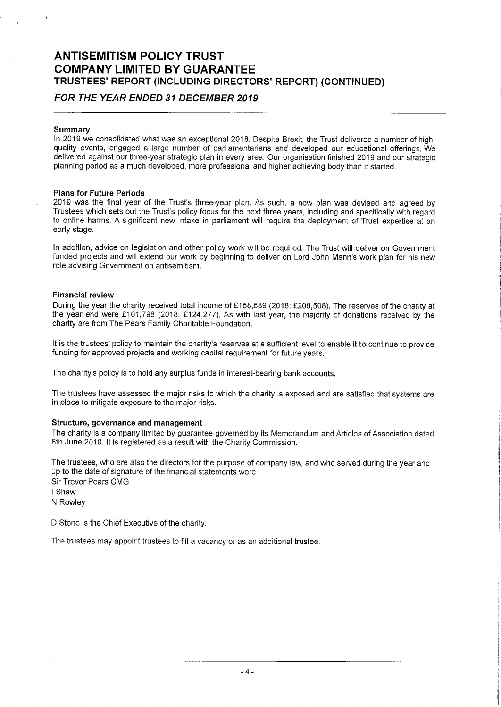### FOR THE YEAR ENDED 31 DECEMBER 2019

#### Summary

In 2019 we consolidated what was an exceptional 2018. Despite Brexit, the Trust delivered a number of highquality events, engaged a large number of parliamentarians and developed our educational offerings. We delivered against our three-year strategic plan in every area. Our organisation finished 2019 and our strategic planning period as a much developed, more professional and higher achieving body than it started.

#### Plans for Future Periods

2019 was the final year of the Trust's three-year plan. As such, a new plan was devised and agreed by Trustees which sets out the Trust's policy focus for the next three years, including and specifically with regard to online harms. A significant new intake in parliament will require the deployment of Trust expertise at an early stage.

In addition, advice on legislation and other policy work will be required. The Trust will deliver on Government funded projects and will extend our work by beginning to deliver on Lord John Mann's work plan for his new role advising Government on antisemitism.

#### Financial review

During the year the charity received total income of £158,589 (2018: £208,508). The reserves of the charity at the year end were £101,798 (2018: £124,277). As with last year, the majority of donations received by the charity are from The Pears Family Charitable Foundation.

It is the trustees' policy to maintain the charity's reserves at a sufficient level to enable it to continue to provide funding for approved projects and working capital requirement for future years.

The charity's policy is to hold any surplus funds in interest-bearing bank accounts.

The trustees have assessed the major risks to which the charity is exposed and are satisfied that systems are in place to mitigate exposure to the major risks.

#### Structure, governance and management

The charity is a company limited by guarantee governed by its Memorandum and Articles of Association dated 8th June 2010. It is registered as a result with the Charity Commission,

The trustees, who are also the directors for the purpose of company law, and who served during the year and up to the date of signature of the financial statements were: Sir Trevor Pears CMG

<sup>I</sup> Shaw N Rowley

D Stone is the Chief Executive of the charity.

The trustees may appoint trustees to fill a vacancy or as an additional trustee.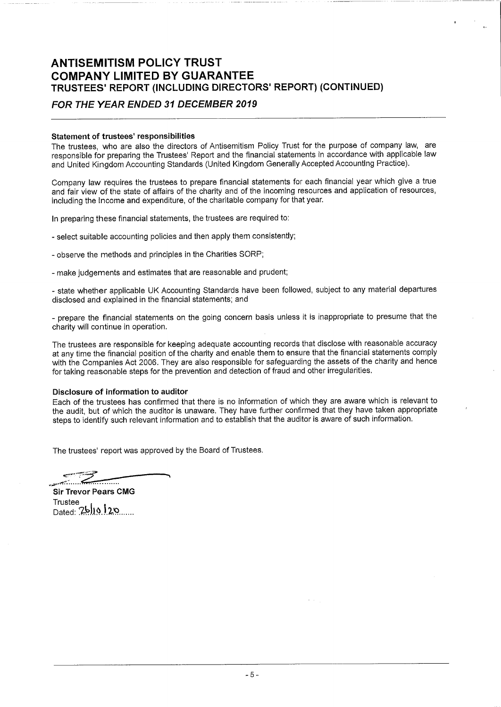### FOR THE YEAR ENDED 31 DECEMBER 2019

#### Statement of trustees' responsibilities

The trustees, who are also the directors of Antisemitism Policy Trust for the purpose of company law, are responsible for preparing the Trustees' Report and the financial statements in accordance with applicable law and United Kingdom Accounting Standards (United Kingdom Generally Accepted Accounting Practice).

Company law requires the trustees to prepare financial statements for each financial year which give a true and fair view of the state of affairs of the charity and of the incoming resources and application of resources, including the income and expenditure, of the charitable company for that year.

In preparing these financial statements, the trustees are required to:

- select suitable accounting policies and then apply them consistently;

- observe the methods and principles in the Charities SORP;

- make judgements and estimates that are reasonable and prudent;

- state whether applicable UK Accounting Standards have been followed, subject to any material departures disclosed and explained in the financial statements; and

- prepare the financial statements on the going concern basis unless it is inappropriate to presume that the charity will continue in operation.

The trustees are responsible for keeping adequate accounting records that disclose with reasonable accuracy at any time the financial position of the charity and enable them to ensure that the financial statements comply with the Companies Act 2006. They are also responsible for safeguarding the assets of the charity and hence for taking reasonable steps for the prevention and detection of fraud and other irregularities.

#### Disclosure of information to auditor

Each of the trustees has confirmed that there is no information of which they are aware which is relevant to the audit, but of which the auditor is unaware. They have further confirmed that they have taken appropriate steps to identify such relevant information and to establish that the auditor is aware of such information.

The trustees' report was approved by the Board of Trustees.

کی ...... ک

Sir Trevor Pears CMG Trustee  $_{\text{Dated:}}$   $2510.120$ ......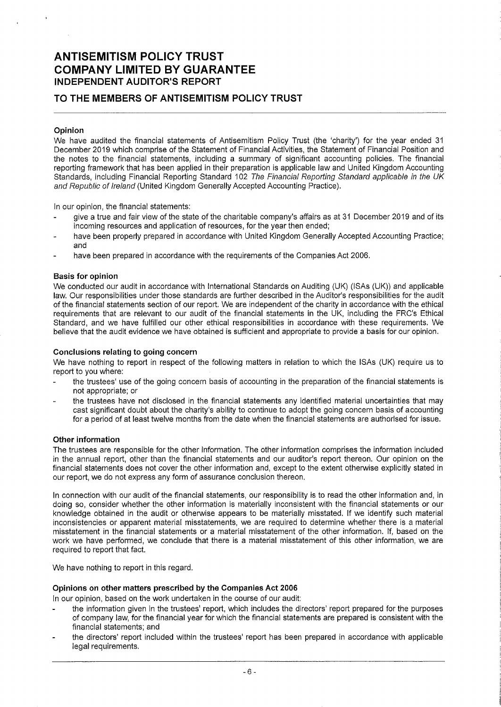### ANTISEMITISM POLICY TRUST COMPANY LIMITED BY GUARANTEE INDEPENDENT AUDITOR'S REPORT

### TO THE MEMBERS OF ANTISEMITISM POLICY TRUST

#### **Opinion**

We have audited the financial statements of Antisemitism Policy Trust (the 'charity') for the year ended 31 December 2019 which comprise of the Statement of Financial Activities, the Statement of Financial Position and the notes to the financial statements, including a summary of significant accounting policies. The financial reporting framework that has been applied in their preparation is applicable law and United Kingdom Accounting Standards, including Financial Reporting Standard 102 The Financial Reporting Standard applicable in the UK and Republic of Ireland (United Kingdom Generally Accepted Accounting Practice).

In our opinion, the financial statements:

- give a true and fair view of the state of the charitable company's affairs as at 31 December 2019 and of its incoming resources and application of resources, for the year then ended;
- have been properly prepared in accordance with United Kingdom Generally Accepted Accounting Practice; and
- have been prepared in accordance with the requirements of the Companies Act 2006.

#### Basis for opinion

We conducted our audit in accordance with International Standards on Auditing (UK) (ISAs (UK)) and applicable law. Our responsibilities under those standards are further described in the Auditor's responsibilities for the audit of the financial statements section of our report. We are independent of the charity in accordance with the ethical requirements that are relevant to our audit of the financial statements in the UK, including the FRC's Ethical Standard, and we have fulfilled our other ethical responsibilities in accordance with these requirements. We believe that the audit evidence we have obtained is sufficient and appropriate to provide a basis for our opinion.

#### Conclusions relating to going concern

VVe have nothing to report in respect of the following matters in relation to which the ISAs (UK) require us to report to you where:

- the trustees' use of the going concern basis of accounting in the preparation of the financial statements is not appropriate; or
- the trustees have not disclosed in the financial statements any identified material uncertainties that may cast significant doubt about the charity's ability to continue to adopt the going concern basis of accounting for a period of at least twelve months from the date when the financial statements are authorised for issue.

#### Other information

The trustees are responsible for the other information. The other information comprises the information included in the annual report, other than the financial statements and our auditor's report thereon. Our opinion on the financial statements does not cover the other information and, except to the extent otherwise explicitly stated in our report, we do not express any form of assurance conclusion thereon,

In connection with our audit of the financial statements, our responsibility is to read the other information and, in doing so, consider whether the other information is materially inconsistent with the financial statements or our knowledge obtained in the audit or otherwise appears to be materially misstated. If we identify such material inconsistencies or apparent material misstatements, we are required to determine whether there is a material misstatement in the financial statements or a material misstatement of the other information. If, based on the work we have performed, we conclude that there is a material misstatement of this other information, we are required to report that fact.

We have nothing to report in this regard.

#### Opinions on other matters prescribed by the Companies Act 2006

In our opinion, based on the work undertaken in the course of our audit;

- the information given in the trustees' report, which includes the directors' report prepared for the purposes of company law, for the financial year for which the financial statements are prepared is consistent with the financial statements; and
- the directors' report included within the trustees' report has been prepared in accordance with applicable legal requirements.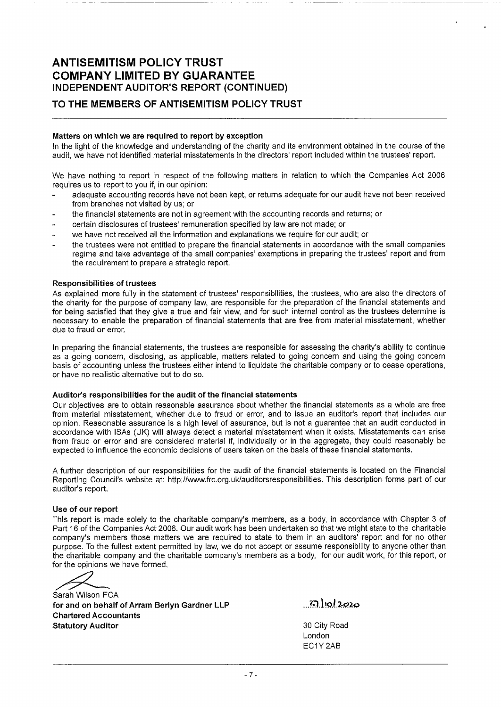### ANTISEMITISM POLICY TRUST COMPANY LIMITED BY GUARANTEE INDEPENDENT AUDITOR'S REPORT (CONTINUED)

### TO THE MEMBERS OF ANTISEMITISM POLICY TRUST

#### Matters on which we are required to report by exception

In the light of the knowledge and understanding of the charity and its environment obtained in the course of the audit, we have not identified material misstatements in the directors' report included within the trustees' report.

We have nothing to report in respect of the following matters in relation to which the Companies Act 2006 requires us to report to you if, in our opinion:

- adequate accounting records have not been kept, or returns adequate for our audit have not been received from branches not visited by us; or
- the financial statements are not in agreement with the accounting records and returns; or
- certain disclosures of trustees' remuneration specified by law are not made; or
- we have not received all the information and explanations we require for our audit; or
- the trustees were not entitled to prepare the financial statements in accordance with the small companies regime and take advantage of the small companies' exemptions in preparing the trustees' report and from the requirement to prepare a strategic report.

#### Responsibilities of trustees

As explained more fully in the statement of trustees' responsibilities, the trustees, who are also the directors of the charity for the purpose of company law, are responsible for the preparation of the financial statements and for being satisfied that they give a true and fair view, and for such internal control as the trustees determine is necessary to enable the preparation of financial statements that are free from material misstatement, whether due to fraud or error,

In preparing the financial statements, the trustees are responsible for assessing the charity's ability to continue as a going concern, disclosing, as applicable, matters related to going concern and using the going concern basis of accounting unless the trustees either intend to liquidate the charitable company or to cease operations, or have no realistic alternative but to do so.

#### Auditor's responsibilities for the audit of the financial statements

Our objectives are to obtain reasonable assurance about whether the financial statements as a whole are free from material misstatement, whether due to fraud or error, and to issue an auditor's report that includes our opinion. Reasonable assurance is a high level of assurance, but is not a guarantee that an audit conducted in accordance with ISAs (UK) will always detect a material misstatement when it exists. Mlsstatements can arise from fraud or error and are considered material if, Individually or in the aggregate, they could reasonably be expected to influence the economic decisions of users taken on the basis of these financial statements.

A further description of our responsibilities for the audit of the financial statements is located on the Financial Reporting Council's website at: http;//wvm. frc.org. uk/auditorsresponsibilities. This description forms part of our auditor's report.

#### Use of our report

This report is made solely to the charitable company's members, as a body, in accordance with Chapter 3 of Part 16 of the Companies Act 2006. Our audit work has been undertaken so that we might state to the charitable company's members those matters we are required to state to them in an auditors' report and for no other purpose. To the fullest extent permitted by law, we do not accept or assume responsibility to anyone other than the charitable company and the charitable company's members as a body, for our audit work, for this report, or for the opinions we have formed,

Sarah Wilson FCA for and on behalf of Arram Berlyn Gardner LLP Chartered Accountants **Statutory Auditor 30 City Road Auditor Statutory Auditor** 30 City Road 30 City Road 30 City Road 30 City Road 30 City Road 30 City Road 30 City Road 30 City Road 30 City Road 30 City Road 30 City Road 30 City Road 30 City

 $\Box$ liol2020

London EC1Y 2AB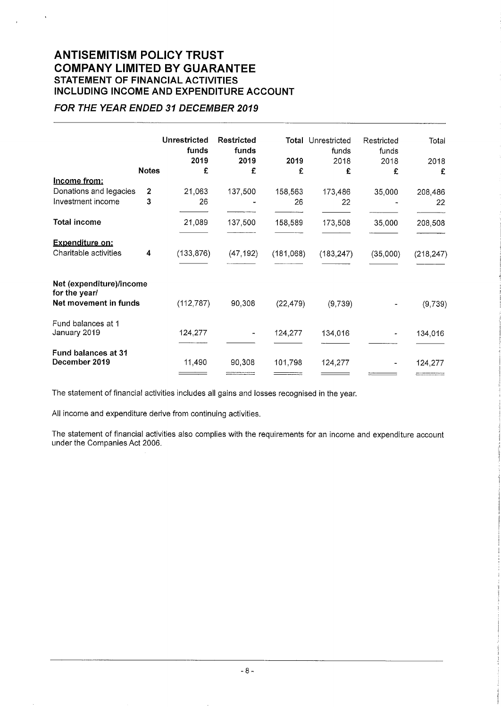### ANTISEMITISM POLICY TRUST COMPANY LIMITED BY GUARANTEE STATEMENT OF FINANCIAL ACTIVITIES INCLUDING INCOME AND EXPENDITURE ACCOUNT

### FOR THE YEAR ENDED 31 DECEMBER 2019

|                                                                    | <b>Notes</b> | <b>Unrestricted</b><br>funds<br>2019<br>£ | <b>Restricted</b><br>funds<br>2019<br>£ | 2019<br>£ | <b>Total</b> Unrestricted<br>funds<br>2018<br>£ | Restricted<br>funds<br>2018<br>£ | Total<br>2018<br>£ |
|--------------------------------------------------------------------|--------------|-------------------------------------------|-----------------------------------------|-----------|-------------------------------------------------|----------------------------------|--------------------|
| Income from:                                                       |              |                                           |                                         |           |                                                 |                                  |                    |
| Donations and legacies                                             | $\mathbf{2}$ | 21,063                                    | 137,500                                 | 158,563   | 173,486                                         | 35,000                           | 208,486            |
| Investment income                                                  | 3            | 26                                        |                                         | 26        | 22                                              |                                  | 22                 |
| <b>Total income</b>                                                |              | 21,089                                    | 137,500                                 | 158,589   | 173,508                                         | 35,000                           | 208,508            |
| Expenditure on:                                                    |              |                                           |                                         |           |                                                 |                                  |                    |
| Charitable activities                                              | 4            | (133, 876)                                | (47, 192)                               | (181,068) | (183, 247)                                      | (35,000)                         | (218, 247)         |
| Net (expenditure)/income<br>for the year/<br>Net movement in funds |              | (112, 787)                                | 90,308                                  | (22, 479) | (9,739)                                         |                                  | (9,739)            |
| Fund balances at 1<br>January 2019                                 |              | 124,277                                   |                                         | 124,277   | 134,016                                         |                                  | 134,016            |
| <b>Fund balances at 31</b><br>December 2019                        |              | 11,490                                    | 90,308                                  | 101,798   | 124,277                                         |                                  | 124,277            |

The statement of financial activities includes all gains and losses recognised in the year.

All income and expenditure derive from continuing activities.

The statement of financial activities also complies with the requirements for an income and expenditure account under the Companies Act 2006.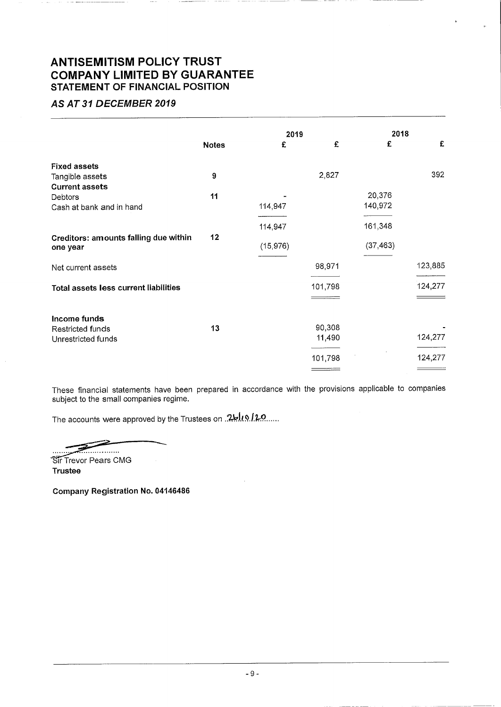### ANTISEMITISM POLICY TRUST COMPANY LIMITED BY GUARANTEE STATEMENT OF FINANCIAL POSITION

### AS AT 31 DECEMBER 2019

|                                                          |              | 2019      |         | 2018      |         |
|----------------------------------------------------------|--------------|-----------|---------|-----------|---------|
|                                                          | <b>Notes</b> | £         | £       | £         | £       |
| <b>Fixed assets</b>                                      |              |           |         |           |         |
| Tangible assets                                          | 9            |           | 2,827   |           | 392     |
| <b>Current assets</b>                                    |              |           |         |           |         |
| <b>Debtors</b>                                           | 11           |           |         | 20,376    |         |
| Cash at bank and in hand                                 |              | 114,947   |         | 140,972   |         |
|                                                          |              | 114,947   |         | 161,348   |         |
| <b>Creditors: amounts falling due within</b><br>one year | 12           | (15, 976) |         | (37, 463) |         |
| Net current assets                                       |              |           | 98,971  |           | 123,885 |
| Total assets less current liabilities                    |              |           | 101,798 |           | 124,277 |
|                                                          |              |           |         |           |         |
| Income funds                                             |              |           |         |           |         |
| Restricted funds                                         | 13           |           | 90,308  |           |         |
| Unrestricted funds                                       |              |           | 11,490  |           | 124,277 |
|                                                          |              |           | 101,798 |           | 124,277 |
|                                                          |              |           |         |           |         |

These financial statements have been prepared in accordance with the provisions applicable to companie subject to the small companies regime.

The accounts were approved by the Trustees on .2

<del>. .</del> . . . . . . . . .

**Sir Trevor Pears CMG** Trustee

Company Registration No. 041464&6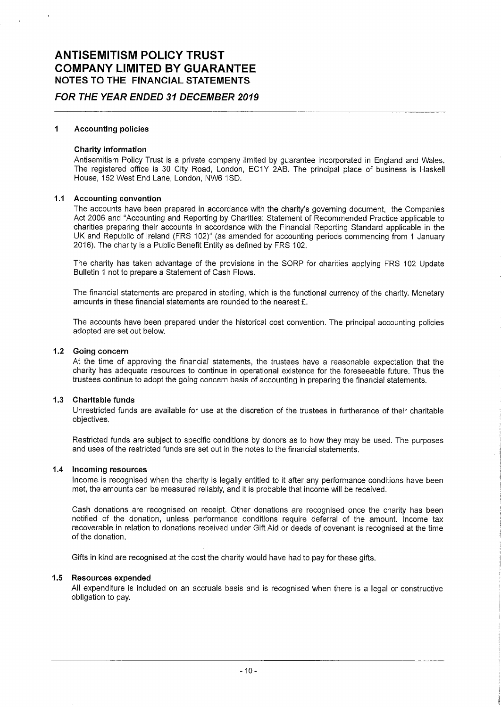#### 1 Accounting policies

#### Charity information

Antisemitism Policy Trust is a private company limited by guarantee incorporated in England and Wales. The registered office is 30 City Road, London, EC1Y 2AB. The principal place of business is Haskell House, 152 West End Lane, London, NW6 1SD.

#### 1.<sup>1</sup> Accounting convention

The accounts have been prepared in accordance with the charity's governing document, the Companies Act 2006 and "Accounting and Reporting by Charities: Statement of Recommended Practice applicable to charities preparing their accounts in accordance with the Financial Reporting Standard applicable in the UK and Republic of Ireland (FRS 102)" (as amended for accounting periods commencing from <sup>1</sup> January 2016). The charity is a Public Benefit Entity as defined by FRS 102.

The charity has taken advantage of the provisions in the SORP for charities applying FRS 102 Update Bulletin <sup>1</sup> not to prepare a Statement of Cash Flows.

The financial statements are prepared in sterling, which is the functional currency of the charity. Monetary amounts in these financial statements are rounded to the nearest E.

The accounts have been prepared under the historical cost convention. The principal accounting policies adopted are set out below.

#### 1.2 Going concern

At the time of approving the financial statements, the trustees have a reasonable expectation that the charity has adequate resources to continue in operational existence for the foreseeable future. Thus the trustees continue to adopt the going concern basis of accounting in preparing the financial statements.

#### 1.3 Charitable funds

Unrestricted funds are available for use at the discretion of the trustees in furtherance of their charitable objectives.

Restricted funds are subject to specific conditions by donors as to how they may be used. The purposes and uses of the restricted funds are set out in the notes to the financial statements.

#### 1.4 Incoming resources

Income is recognised when the charity is legally entitled to it after any performance conditions have been met, the amounts can be measured reliably, and it is probable that income will be received.

Cash donations are recognised on receipt. Other donations are recognised once the charity has been notified of the donation, unless performance conditions require deferral of the amount. Income tax recoverable in relation to donations received under Gift Aid or deeds of covenant is recognised at the time of the donation.

Gifts in kind are recognised at the cost the charity would have had to pay for these gifts.

#### 1.5 Resources expended

All expenditure is included on an accruals basis and is recognised when there is a legal or constructive obligation to pay.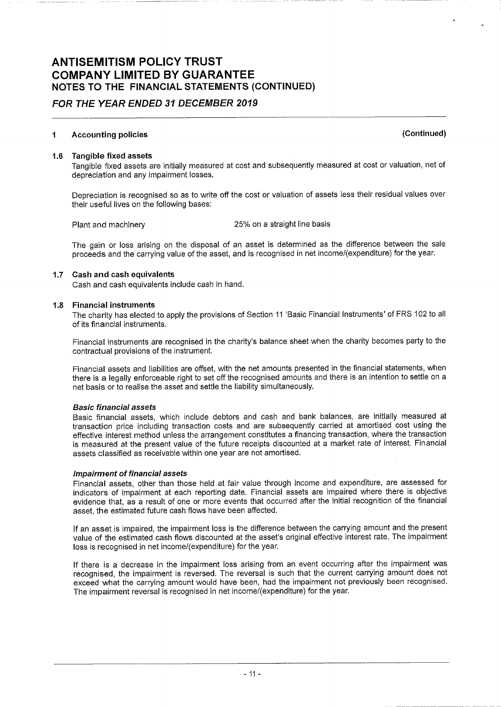### FOR THE YEAR ENDED 31 DECEMBER 2019

### <sup>1</sup> Accounting policies (Continued)

#### 1.6 Tangible fixed assets

Tangible fixed assets are initially measured at cost and subsequently measured at cost or valuation, net of depreciation and any impairment losses.

Depreciation is recognised so as to write off the cost or valuation of assets less their residual values over their useful lives on the following bases:

Plant and machinery 25% on a straight line basis

The gain or loss arising on the disposal of an asset is determined as the difference between the sale proceeds and the carrying value of the asset, and is recognised in net income/(expenditure) for the year.

#### 1.7 Cash and cash equivalents

Cash and cash equivalents include cash in hand.

#### 1.8 Financial instruments

The charity has elected to apply the provisions of Section 11 'Basic Financial Instruments' of FRS 102 to all of its financial instruments.

Financial instruments are recognised in the charity's balance sheet when the charity becomes party to the contractual provisions of the instrument.

Financial assets and liabilities are offset, with the net amounts presented in the financial statements, when there is a legally enforceable right to set off the recognised amounts and there is an intention to settle on a net basis or to realise the asset and settle the liability simultaneously.

#### Basic financial assets

Basic financial assets, which include debtors and cash and bank balances, are initially measured at transaction price including transaction costs and are subsequently carried at amortised cost using the effective interest method unless the arrangement constitutes a financing transaction, where the transaction is measured at the present value of the future receipts discounted at a market rate of interest. Financial assets classified as receivable within one year are not amortised.

#### Impairment of financial assets

Financial assets, other than those held at fair value through income and expenditure, are assessed for indicators of impairment at each reporting date. Financial assets are impaired where there is objective evidence that, as a result of one or more events that occurred after the initial recognition of the financial asset, the estimated future cash flows have been affected.

If an asset is impaired, the impairment loss is the difference between the carrying amount and the present value of the estimated cash flows discounted at the asset's original effective interest rate. The impairment loss is recognised in net income/(expenditure) for the year.

If there is a decrease in the impairment loss arising from an event occurring after the impairment was recognised, the impairment is reversed. The reversal is such that the current carrying amount does not exceed what the carrying amount would have been, had the impairment not previously been recognised. The impairment reversal is recognised in net income/(expenditure) for the year.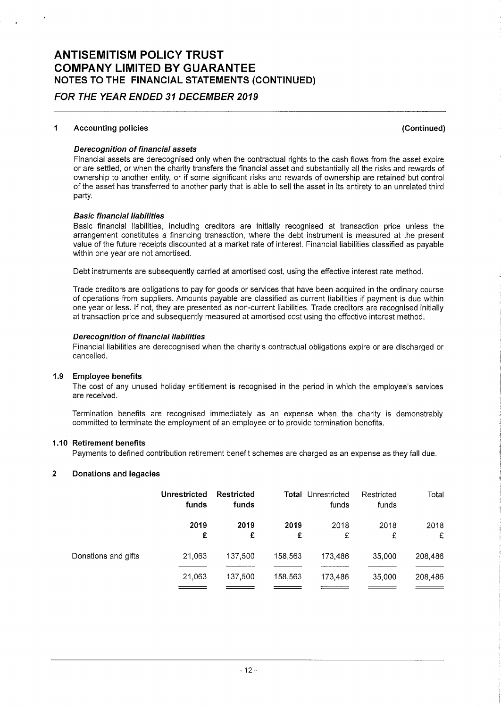### 1 Accounting policies and the continued of the continued of the continued of the continued of the continued of the continued of the continued of the continued of the continued of the continued of the continued of the conti

#### Derecognition of financial assets

Financial assets are derecognised only when the contractual rights to the cash flows from the asset expire or are settled, or when the charity transfers the financial asset and substantially all the risks and rewards of ownership to another entity, or if some significant risks and rewards of ownership are retained but control of the asset has transferred to another party that is able to sell the asset in its entirety to an unrelated third party.

#### Basic financial liabilities

Basic financial liabilities, including creditors are initially recognised at transaction price unless the arrangement constitutes a financing transaction, where the debt instrument is measured at the present value of the future receipts discounted at a market rate of interest. Financial liabilities classified as payable within one year are not amortised.

Debt instruments are subsequently carried at amortised cost, using the effective interest rate method.

Trade creditors are obligations to pay for goods or services that have been acquired in the ordinary course of operations from suppliers. Amounts payable are classified as current liabilities if payment is due within one year or less. If not, they are presented as non-current liabilities, Trade creditors are recognised initially at transaction price and subsequently measured at amortised cost using the effective interest method.

#### Derecognition of financial liabilities

Financial liabilities are derecognised when the charity's contractual obligations expire or are discharged or cancelled.

#### 1.9 Employee benefits

The cost of any unused holiday entitlement is recognised in the period in which the employee's services are received.

Termination benefits are recognised immediately as an expense when the charity is demonstrably committed to terminate the employment of an employee or to provide termination benefits.

#### 1.10 Retirement benefits

Payments to defined contribution retirement benefit schemes are charged as an expense as they fall due.

#### 2 Donations and legacies

|                     | Unrestricted<br>funds | <b>Restricted</b><br>funds |         | <b>Total</b> Unrestricted<br>funds | Restricted<br>funds | Total   |   |
|---------------------|-----------------------|----------------------------|---------|------------------------------------|---------------------|---------|---|
|                     | 2019                  | 2019                       | 2019    | 2018                               | 2018                | 2018    |   |
|                     | £                     | £                          |         | £                                  | £                   | £       | £ |
| Donations and gifts | 21,063                | 137,500                    | 158.563 | 173.486                            | 35,000              | 208,486 |   |
|                     | 21,063                | 137,500                    | 158,563 | 173.486                            | 35.000              | 208,486 |   |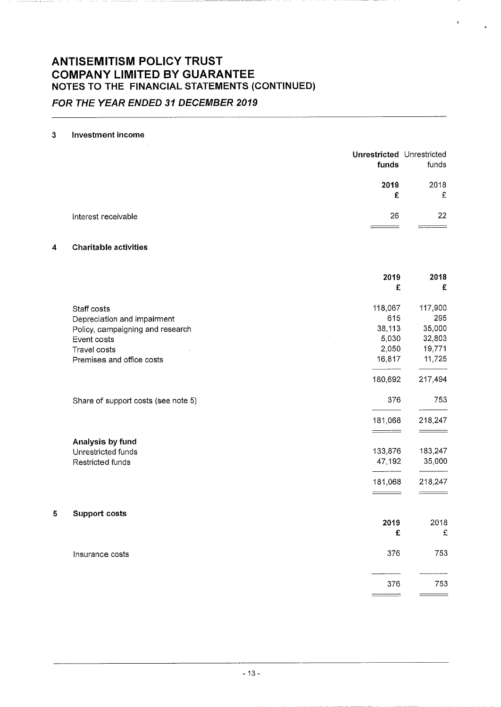### FOR THE YEAR ENDED 31 DECEMBER 2019

#### 3 Investment income

| $-$<br>Unrestricted Unrestricted<br>funds | funds     |
|-------------------------------------------|-----------|
| 2019<br>£<br>$\sim$                       | 2018<br>£ |
| 26<br>Interest receivable                 | 22        |

#### 4 Charitable activities

|   |                                     | 2019<br>£ | 2018<br>£         |
|---|-------------------------------------|-----------|-------------------|
|   | Staff costs                         | 118,067   | 117,900           |
|   | Depreciation and impairment         | 615       | 295               |
|   | Policy, campaigning and research    | 38,113    | 35,000            |
|   | Event costs                         | 5,030     | 32,803            |
|   | <b>Travel costs</b>                 | 2,050     | 19,771            |
|   | Premises and office costs           | 16,817    | 11,725            |
|   |                                     | 180,692   | 217,494           |
|   | Share of support costs (see note 5) | 376       | 753               |
|   |                                     | 181,068   | 218,247           |
|   | Analysis by fund                    |           |                   |
|   | Unrestricted funds                  | 133,876   | 183,247           |
|   | Restricted funds                    | 47,192    | 35,000            |
|   |                                     | 181,068   | 218,247           |
| 5 | Support costs                       |           |                   |
|   |                                     | 2019<br>£ | 2018<br>$\pounds$ |
|   | Insurance costs                     | 376       | 753               |
|   |                                     | 376       | 753               |
|   |                                     |           |                   |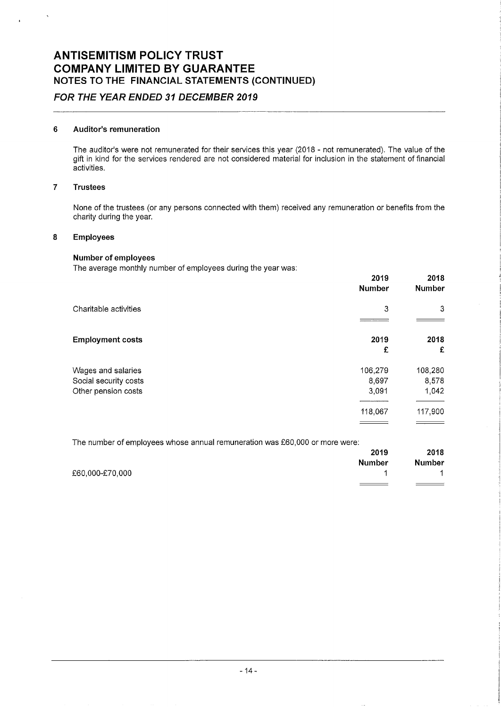#### 6 Auditor's remuneration

The auditor's were not remunerated for their services this year (2018 - not remunerated). The value of the gift in kind for the services rendered are not considered material for inclusion in the statement of financial activities.

#### 7 Trustees

None of the trustees (or any persons connected with them) received any remuneration or benefits from the charity during the year.

#### 8 Employees

#### Number of employees

The average monthly number of employees during the year was:

|                                                                    | 2019<br>Number            | 2018<br><b>Number</b>     |
|--------------------------------------------------------------------|---------------------------|---------------------------|
| Charitable activities                                              | 3                         | 3                         |
| <b>Employment costs</b>                                            | 2019<br>£                 | 2018<br>£                 |
| Wages and salaries<br>Social security costs<br>Other pension costs | 106,279<br>8,697<br>3,091 | 108,280<br>8,578<br>1,042 |
|                                                                    | 118,067                   | 117,900                   |

| The number of employees whose annual remuneration was £60,000 or more were: |        |        |
|-----------------------------------------------------------------------------|--------|--------|
|                                                                             | 2019   | 2018   |
|                                                                             | Number | Number |
| £60.000-£70.000                                                             |        |        |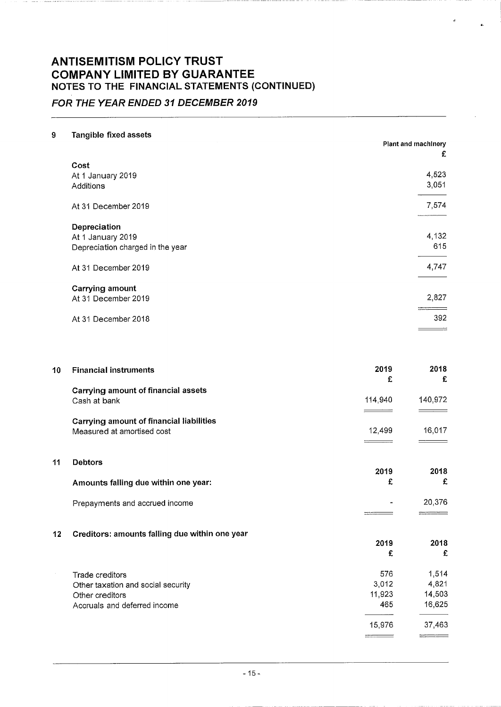### FOR THE YEAR ENDED 31 DECEMBER 2019

#### 9 Tangible fixed assets

|                                  | Plant and machinery |
|----------------------------------|---------------------|
|                                  | £                   |
| Cost<br>At 1 January 2019        | 4,523               |
| Additions                        | 3,051               |
| At 31 December 2019              | 7,574               |
| Depreciation                     |                     |
| At 1 January 2019                | 4,132               |
| Depreciation charged in the year | 615                 |
| At 31 December 2019              | 4,747               |
| <b>Carrying amount</b>           |                     |
| At 31 December 2019              | 2,827               |
| At 31 December 2018              | 392                 |
|                                  |                     |

| 10 | <b>Financial instruments</b>                                                  | 2019<br>£ | 2018<br>£ |
|----|-------------------------------------------------------------------------------|-----------|-----------|
|    | <b>Carrying amount of financial assets</b>                                    |           |           |
|    | Cash at bank                                                                  | 114,940   | 140,972   |
|    |                                                                               |           |           |
|    | <b>Carrying amount of financial liabilities</b><br>Measured at amortised cost | 12,499    | 16,017    |
|    |                                                                               |           |           |
| 11 | <b>Debtors</b>                                                                |           |           |
|    |                                                                               | 2019      | 2018      |
|    | Amounts falling due within one year:                                          | £         | £         |
|    | Prepayments and accrued income                                                |           | 20,376    |
|    |                                                                               |           |           |
| 12 | Creditors: amounts falling due within one year                                |           |           |
|    |                                                                               | 2019      | 2018      |
|    |                                                                               | £         | £         |
|    | Trade creditors                                                               | 576       | 1,514     |
|    | Other taxation and social security                                            | 3,012     | 4,821     |
|    | Other creditors                                                               | 11,923    | 14,503    |
|    | Accruals and deferred income                                                  | 465       | 16,625    |
|    |                                                                               | 15,976    | 37,463    |
|    |                                                                               |           |           |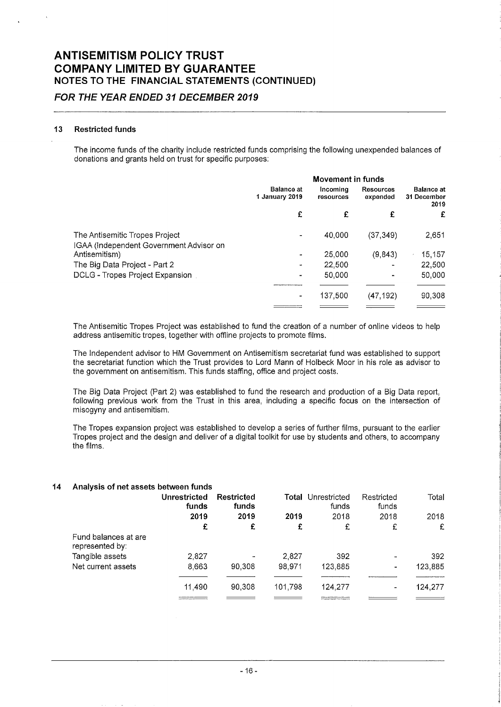#### 13 Restricted funds

The income funds of the charity include restricted funds comprising the following unexpended balances of donations and grants held on trust for specific purposes:

|                                         | Movement in funds                        |                       |                              |                                          |
|-----------------------------------------|------------------------------------------|-----------------------|------------------------------|------------------------------------------|
|                                         | <b>Balance at</b><br>1 January 2019<br>£ | Incomina<br>resources | <b>Resources</b><br>expended | <b>Balance at</b><br>31 December<br>2019 |
|                                         |                                          | £                     | £                            | £                                        |
| The Antisemitic Tropes Project          |                                          | 40,000                | (37,349)                     | 2,651                                    |
| IGAA (Independent Government Advisor on |                                          |                       |                              |                                          |
| Antisemitism)                           | ٠                                        | 25,000                | (9, 843)                     | 15.157                                   |
| The Big Data Project - Part 2           | ٠                                        | 22,500                |                              | 22,500                                   |
| DCLG - Tropes Project Expansion         | ٠                                        | 50,000                |                              | 50,000                                   |
|                                         |                                          |                       |                              |                                          |
|                                         | ٠                                        | 137,500               | (47.192)                     | 90,308                                   |
|                                         |                                          |                       |                              |                                          |

The Antisemitic Tropes Project was established to fund the creation of a number of online videos to help address antisemitic tropes, together with offline projects to promote films.

The Independent advisor to HM Government on Antisemitism secretariat fund was established to support the secretariat function which the Trust provides to Lord Mann of Holbeck Moor in his role as advisor to the government on antisemitism. This funds staffing, office and project costs.

The Big Data Project (Part 2) was established to fund the research and production of a Big Data report, following previous work from the Trust in this area, including a specific focus on the intersection of misogyny and antisemitism.

The Tropes expansion project was established to develop a series of further films, pursuant to the earlier Tropes project and the design and deliver of a digital toolkit for use by students and others, to accompany the films.

#### 14 Analysis of net assets between funds

|                                         | Unrestricted<br>funds | Restricted<br>funds |         | <b>Total</b> Unrestricted<br>funds | Restricted<br>funds      | Total   |
|-----------------------------------------|-----------------------|---------------------|---------|------------------------------------|--------------------------|---------|
|                                         | 2019                  | 2019                | 2019    | 2018                               | 2018                     | 2018    |
|                                         | £                     | £                   | £       | £                                  | £                        | £       |
| Fund balances at are<br>represented by: |                       |                     |         |                                    |                          |         |
| Tangible assets                         | 2,827                 | ٠                   | 2,827   | 392                                | $\blacksquare$           | 392     |
| Net current assets                      | 8,663                 | 90.308              | 98.971  | 123,885                            | $\blacksquare$           | 123,885 |
|                                         |                       |                     |         |                                    |                          |         |
|                                         | 11.490                | 90.308              | 101.798 | 124,277                            | $\overline{\phantom{0}}$ | 124,277 |
|                                         |                       |                     |         |                                    |                          |         |